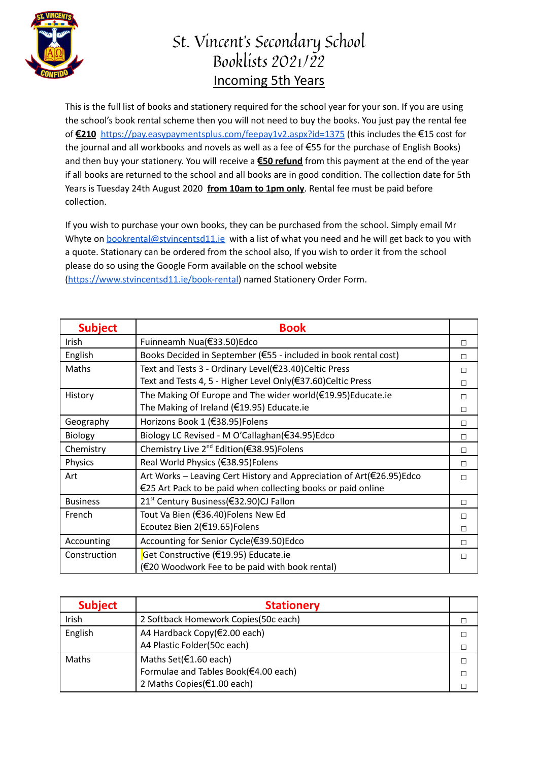

## St. Vincent's Secondary School Booklists 2021/22 Incoming 5th Years

This is the full list of books and stationery required for the school year for your son. If you are using the school's book rental scheme then you will not need to buy the books. You just pay the rental fee of **€210** <https://pay.easypaymentsplus.com/feepay1v2.aspx?id=1375> (this includes the €15 cost for the journal and all workbooks and novels as well as a fee of €55 for the purchase of English Books) and then buy your stationery. You will receive a **€50 refund** from this payment at the end of the year if all books are returned to the school and all books are in good condition. The collection date for 5th Years is Tuesday 24th August 2020 **from 10am to 1pm only**. Rental fee must be paid before collection.

If you wish to purchase your own books, they can be purchased from the school. Simply email Mr Whyte on bookrental@stvincentsd11.je with a list of what you need and he will get back to you with a quote. Stationary can be ordered from the school also, If you wish to order it from the school please do so using the Google Form available on the school website [\(https://www.stvincentsd11.ie/book-rental\)](https://www.stvincentsd11.ie/book-rental) named Stationery Order Form.

| <b>Subject</b>  | <b>Book</b>                                                          |   |
|-----------------|----------------------------------------------------------------------|---|
| Irish           | Fuinneamh Nua(€33.50)Edco                                            | П |
| English         | Books Decided in September (€55 - included in book rental cost)      | П |
| Maths           | Text and Tests 3 - Ordinary Level(€23.40)Celtic Press                | п |
|                 | Text and Tests 4, 5 - Higher Level Only(€37.60)Celtic Press          | П |
| History         | The Making Of Europe and The wider world(€19.95)Educate.ie           | П |
|                 | The Making of Ireland (€19.95) Educate.ie                            | п |
| Geography       | Horizons Book 1 (€38.95) Folens                                      | П |
| Biology         | Biology LC Revised - M O'Callaghan(€34.95)Edco                       | П |
| Chemistry       | Chemistry Live 2 <sup>nd</sup> Edition(€38.95)Folens                 | П |
| Physics         | Real World Physics (€38.95)Folens                                    | П |
| Art             | Art Works – Leaving Cert History and Appreciation of Art(€26.95)Edco | П |
|                 | €25 Art Pack to be paid when collecting books or paid online         |   |
| <b>Business</b> | 21 <sup>st</sup> Century Business(€32.90)CJ Fallon                   | П |
| French          | Tout Va Bien (€36.40) Folens New Ed                                  | П |
|                 | Ecoutez Bien 2(€19.65)Folens                                         | П |
| Accounting      | Accounting for Senior Cycle(€39.50)Edco                              | П |
| Construction    | Get Constructive (€19.95) Educate.ie                                 | П |
|                 | (€20 Woodwork Fee to be paid with book rental)                       |   |

| <b>Subject</b> | <b>Stationery</b>                     |  |
|----------------|---------------------------------------|--|
| Irish          | 2 Softback Homework Copies (50c each) |  |
| English        | A4 Hardback Copy(€2.00 each)          |  |
|                | A4 Plastic Folder(50c each)           |  |
| Maths          | Maths Set(€1.60 each)                 |  |
|                | Formulae and Tables Book(€4.00 each)  |  |
|                | 2 Maths Copies(€1.00 each)            |  |